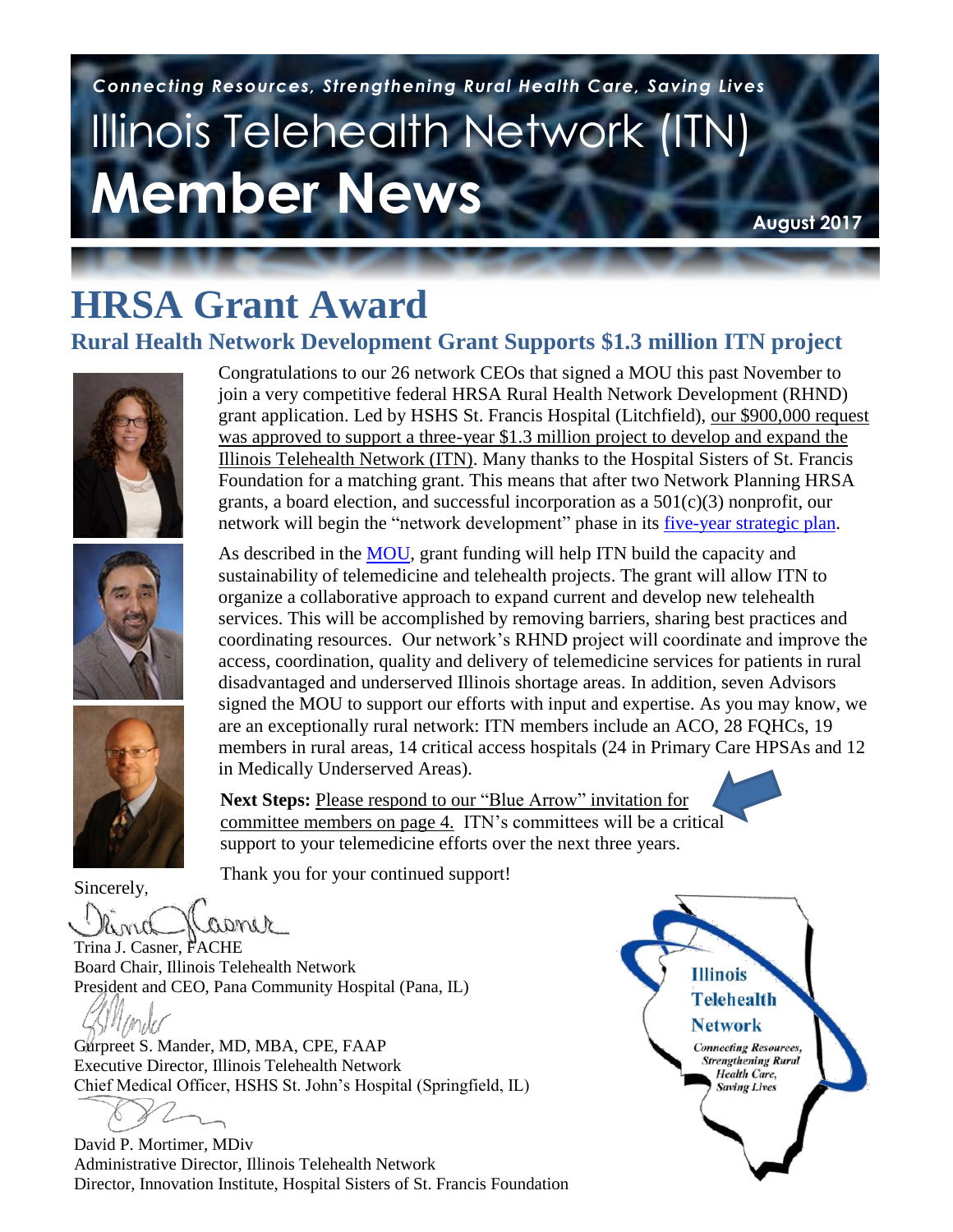# Illinois Telehealth Network (ITN) **Member News**  *Connecting Resources, Strengthening Rural Health Care, Saving Lives*

**August 2017**

# **HRSA Grant Award**

#### **Rural Health Network Development Grant Supports \$1.3 million ITN project**







Congratulations to our 26 network CEOs that signed a MOU this past November to join a very competitive federal HRSA Rural Health Network Development (RHND) grant application. Led by HSHS St. Francis Hospital (Litchfield), our \$900,000 request was approved to support a three-year \$1.3 million project to develop and expand the Illinois Telehealth Network (ITN). Many thanks to the Hospital Sisters of St. Francis Foundation for a matching grant. This means that after two Network Planning HRSA grants, a board election, and successful incorporation as a  $501(c)(3)$  nonprofit, our network will begin the "network development" phase in its [five-year](https://www.dropbox.com/s/uk6keqlgjm8f5c7/Updated%20ITN%20Strategic%20Plan%20%282015-2020%29.pdf?dl=0) strategic plan.

As described in the [MOU,](https://www.dropbox.com/s/1bym33jt5zy8m36/ITN_MOU%20%282017-2020%29%20%26%20Map.pdf?dl=0) grant funding will help ITN build the capacity and sustainability of telemedicine and telehealth projects. The grant will allow ITN to organize a collaborative approach to expand current and develop new telehealth services. This will be accomplished by removing barriers, sharing best practices and coordinating resources. Our network's RHND project will coordinate and improve the access, coordination, quality and delivery of telemedicine services for patients in rural disadvantaged and underserved Illinois shortage areas. In addition, seven Advisors signed the MOU to support our efforts with input and expertise. As you may know, we are an exceptionally rural network: ITN members include an ACO, 28 FQHCs, 19 members in rural areas, 14 critical access hospitals (24 in Primary Care HPSAs and 12 in Medically Underserved Areas).

**Next Steps:** Please respond to our "Blue Arrow" invitation for committee members on page 4. ITN's committees will be a critical support to your telemedicine efforts over the next three years.

Thank you for your continued support!

Sincerely,

right

 $\overline{u}$ underserved rural areas with provider shortages. With provider shortages. The shortages of  $\overline{u}$ Trina J. Casner, FACHE Board Chair, Illinois Telehealth Network President and CEO, Pana Community Hospital (Pana, IL)

Executive Enector, initions Telenteatur Fiction Realth Care services in the board from seventh care control of the board Chief Medical Officer, HSHS St. John's Hospital (Springfield, IL) Gurpreet S. Mander, MD, MBA, CPE, FAAP Executive Director, Illinois Telehealth Network **Executive Director, Illinois Telehealth Network** 

David P. Mortimer, MDiv Administrative Director, Illinois Telehealth Network Director, Innovation Institute, Hospital Sisters of St. Francis Foundation

**Illinois Telehealth Network Health Care**,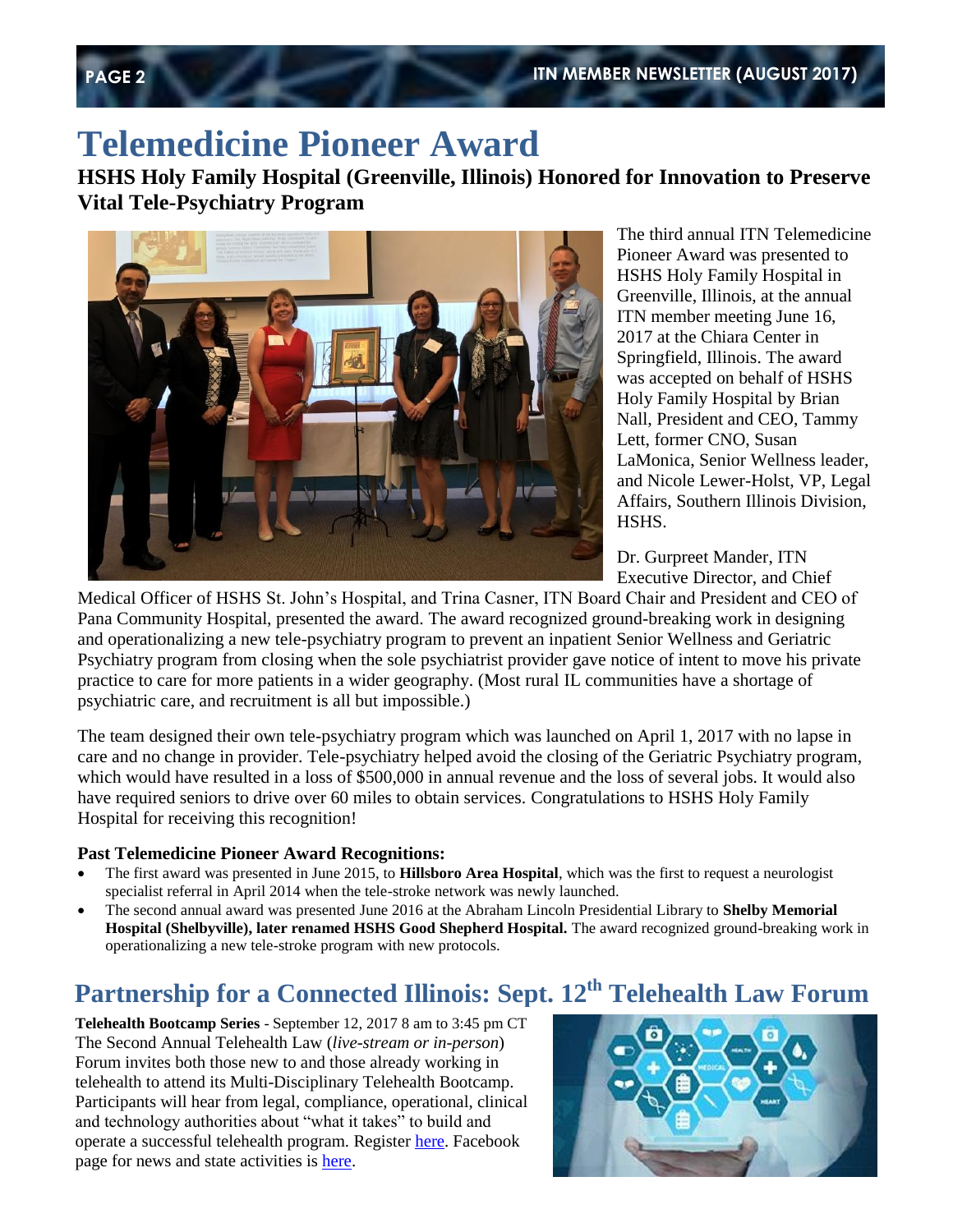## **Telemedicine Pioneer Award**

**HSHS Holy Family Hospital (Greenville, Illinois) Honored for Innovation to Preserve Vital Tele-Psychiatry Program**



The third annual ITN Telemedicine Pioneer Award was presented to HSHS Holy Family Hospital in Greenville, Illinois, at the annual ITN member meeting June 16, 2017 at the Chiara Center in Springfield, Illinois. The award was accepted on behalf of HSHS Holy Family Hospital by Brian Nall, President and CEO, Tammy Lett, former CNO, Susan LaMonica, Senior Wellness leader, and Nicole Lewer-Holst, VP, Legal Affairs, Southern Illinois Division, HSHS.

Dr. Gurpreet Mander, ITN Executive Director, and Chief

Medical Officer of HSHS St. John's Hospital, and Trina Casner, ITN Board Chair and President and CEO of Pana Community Hospital, presented the award. The award recognized ground-breaking work in designing and operationalizing a new tele-psychiatry program to prevent an inpatient Senior Wellness and Geriatric Psychiatry program from closing when the sole psychiatrist provider gave notice of intent to move his private practice to care for more patients in a wider geography. (Most rural IL communities have a shortage of psychiatric care, and recruitment is all but impossible.)

The team designed their own tele-psychiatry program which was launched on April 1, 2017 with no lapse in care and no change in provider. Tele-psychiatry helped avoid the closing of the Geriatric Psychiatry program, which would have resulted in a loss of \$500,000 in annual revenue and the loss of several jobs. It would also have required seniors to drive over 60 miles to obtain services. Congratulations to HSHS Holy Family Hospital for receiving this recognition!

#### **Past Telemedicine Pioneer Award Recognitions:**

- The first award was presented in June 2015, to **Hillsboro Area Hospital**, which was the first to request a neurologist specialist referral in April 2014 when the tele-stroke network was newly launched.
- The second annual award was presented June 2016 at the Abraham Lincoln Presidential Library to **Shelby Memorial Hospital (Shelbyville), later renamed HSHS Good Shepherd Hospital.** The award recognized ground-breaking work in operationalizing a new tele-stroke program with new protocols.

### **Partnership for a Connected Illinois: Sept. 12th Telehealth Law Forum**

**Telehealth Bootcamp Series** - September 12, 2017 8 am to 3:45 pm CT The Second Annual Telehealth Law (*live-stream or in-person*) Forum invites both those new to and those already working in telehealth to attend its Multi-Disciplinary Telehealth Bootcamp. Participants will hear from legal, compliance, operational, clinical and technology authorities about "what it takes" to build and operate a successful telehealth program. Registe[r here.](https://www.eventbrite.com/e/2017-telehealth-bootcamp-series-part-ii-tickets-32486171012) Facebook page for news and state activities is [here.](https://www.facebook.com/broadbandillinois)

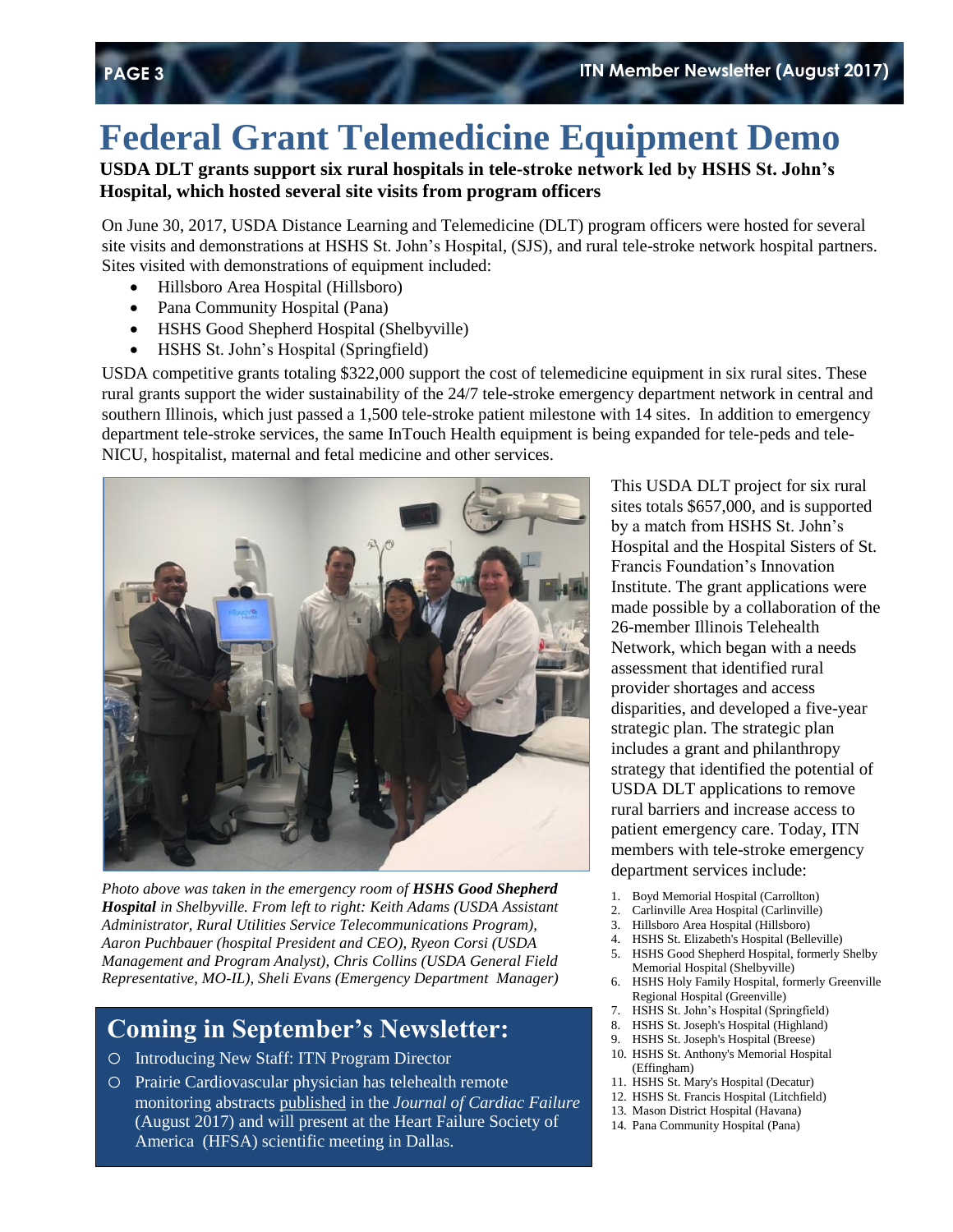## **Federal Grant Telemedicine Equipment Demo**

#### **USDA DLT grants support six rural hospitals in tele-stroke network led by HSHS St. John's Hospital, which hosted several site visits from program officers**

On June 30, 2017, USDA Distance Learning and Telemedicine (DLT) program officers were hosted for several site visits and demonstrations at HSHS St. John's Hospital, (SJS), and rural tele-stroke network hospital partners. Sites visited with demonstrations of equipment included:

- Hillsboro Area Hospital (Hillsboro)
- Pana Community Hospital (Pana)
- HSHS Good Shepherd Hospital (Shelbyville)
- HSHS St. John's Hospital (Springfield)

USDA competitive grants totaling \$322,000 support the cost of telemedicine equipment in six rural sites. These rural grants support the wider sustainability of the 24/7 tele-stroke emergency department network in central and southern Illinois, which just passed a 1,500 tele-stroke patient milestone with 14 sites. In addition to emergency department tele-stroke services, the same InTouch Health equipment is being expanded for tele-peds and tele-NICU, hospitalist, maternal and fetal medicine and other services.



*Photo above was taken in the emergency room of HSHS Good Shepherd Hospital in Shelbyville. From left to right: Keith Adams (USDA Assistant Administrator, Rural Utilities Service Telecommunications Program), Aaron Puchbauer (hospital President and CEO), Ryeon Corsi (USDA Management and Program Analyst), Chris Collins (USDA General Field Representative, MO-IL), Sheli Evans (Emergency Department Manager)*

### **Coming in September's Newsletter:**

- o Introducing New Staff: ITN Program Director
- o Prairie Cardiovascular physician has telehealth remote monitoring abstracts [published](https://www.dropbox.com/s/21iy0f6nkuvxrns/Journal%20of%20Cardiac%20Failure%20abstract%20%282017%29.pdf?dl=0) in the *Journal of Cardiac Failure* (August 2017) and will present at the Heart Failure Society of America (HFSA) scientific meeting in Dallas.

This USDA DLT project for six rural sites totals \$657,000, and is supported by a match from HSHS St. John's Hospital and the Hospital Sisters of St. Francis Foundation's Innovation Institute. The grant applications were made possible by a collaboration of the 26-member Illinois Telehealth Network, which began with a needs assessment that identified rural provider shortages and access disparities, and developed a five-year strategic plan. The strategic plan includes a grant and philanthropy strategy that identified the potential of USDA DLT applications to remove rural barriers and increase access to patient emergency care. Today, ITN members with tele-stroke emergency department services include:

- 1. Boyd Memorial Hospital (Carrollton)
- 2. Carlinville Area Hospital (Carlinville)
- 3. Hillsboro Area Hospital (Hillsboro)
- 4. HSHS St. Elizabeth's Hospital (Belleville)
- 5. HSHS Good Shepherd Hospital, formerly Shelby Memorial Hospital (Shelbyville)
- 6. HSHS Holy Family Hospital, formerly Greenville Regional Hospital (Greenville)
- 7. HSHS St. John's Hospital (Springfield)
- 8. HSHS St. Joseph's Hospital (Highland)
- 9. HSHS St. Joseph's Hospital (Breese)
- 10. HSHS St. Anthony's Memorial Hospital (Effingham)
- 11. HSHS St. Mary's Hospital (Decatur)
- 12. HSHS St. Francis Hospital (Litchfield)
- 13. Mason District Hospital (Havana) 14. Pana Community Hospital (Pana)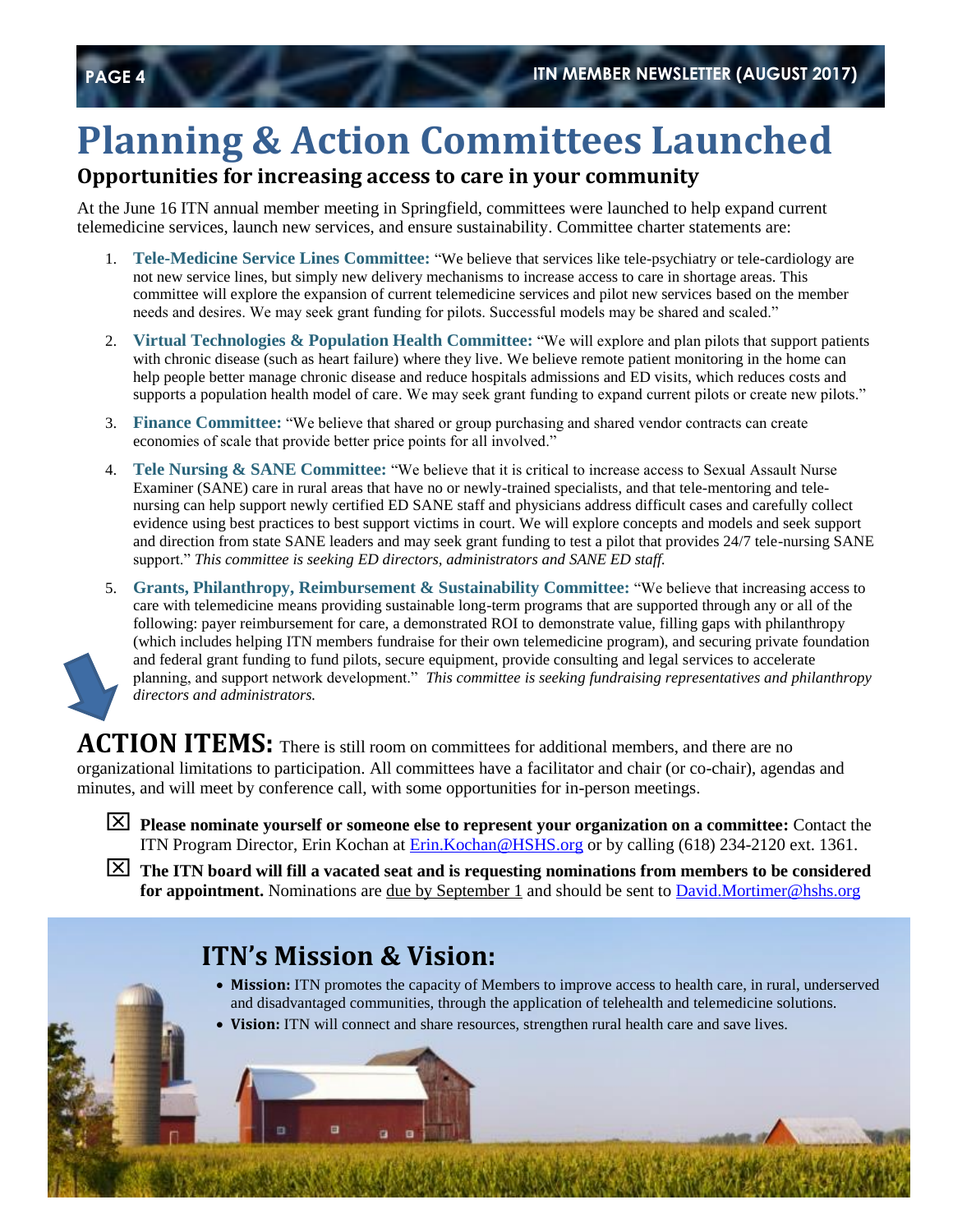# **Planning & Action Committees Launched**

#### **Opportunities for increasing access to care in your community**

At the June 16 ITN annual member meeting in Springfield, committees were launched to help expand current telemedicine services, launch new services, and ensure sustainability. Committee charter statements are:

- 1. **Tele-Medicine Service Lines Committee:** "We believe that services like tele-psychiatry or tele-cardiology are not new service lines, but simply new delivery mechanisms to increase access to care in shortage areas. This committee will explore the expansion of current telemedicine services and pilot new services based on the member needs and desires. We may seek grant funding for pilots. Successful models may be shared and scaled."
- 2. **Virtual Technologies & Population Health Committee:** "We will explore and plan pilots that support patients with chronic disease (such as heart failure) where they live. We believe remote patient monitoring in the home can help people better manage chronic disease and reduce hospitals admissions and ED visits, which reduces costs and supports a population health model of care. We may seek grant funding to expand current pilots or create new pilots."
- 3. **Finance Committee:** "We believe that shared or group purchasing and shared vendor contracts can create economies of scale that provide better price points for all involved."
- 4. **Tele Nursing & SANE Committee:** "We believe that it is critical to increase access to Sexual Assault Nurse Examiner (SANE) care in rural areas that have no or newly-trained specialists, and that tele-mentoring and telenursing can help support newly certified ED SANE staff and physicians address difficult cases and carefully collect evidence using best practices to best support victims in court. We will explore concepts and models and seek support and direction from state SANE leaders and may seek grant funding to test a pilot that provides 24/7 tele-nursing SANE support." *This committee is seeking ED directors, administrators and SANE ED staff.*
- 5. **Grants, Philanthropy, Reimbursement & Sustainability Committee:** "We believe that increasing access to care with telemedicine means providing sustainable long-term programs that are supported through any or all of the following: payer reimbursement for care, a demonstrated ROI to demonstrate value, filling gaps with philanthropy (which includes helping ITN members fundraise for their own telemedicine program), and securing private foundation and federal grant funding to fund pilots, secure equipment, provide consulting and legal services to accelerate planning, and support network development." *This committee is seeking fundraising representatives and philanthropy directors and administrators.*

ACTION ITEMS: There is still room on committees for additional members, and there are no organizational limitations to participation. All committees have a facilitator and chair (or co-chair), agendas and minutes, and will meet by conference call, with some opportunities for in-person meetings.

- **Please nominate yourself or someone else to represent your organization on a committee:** Contact the ITN Program Director, Erin Kochan at [Erin.Kochan@HSHS.org](mailto:Erin.Kochan@HSHS.org) or by calling (618) 234-2120 ext. 1361.
- **The ITN board will fill a vacated seat and is requesting nominations from members to be considered for appointment.** Nominations are <u>due by September 1</u> and should be sent to [David.Mortimer@hshs.org](mailto:David.Mortimer@hshs.org)

### **ITN's Mission & Vision:**

- **Mission:** ITN promotes the capacity of Members to improve access to health care, in rural, underserved and disadvantaged communities, through the application of telehealth and telemedicine solutions.
- **Vision:** ITN will connect and share resources, strengthen rural health care and save lives.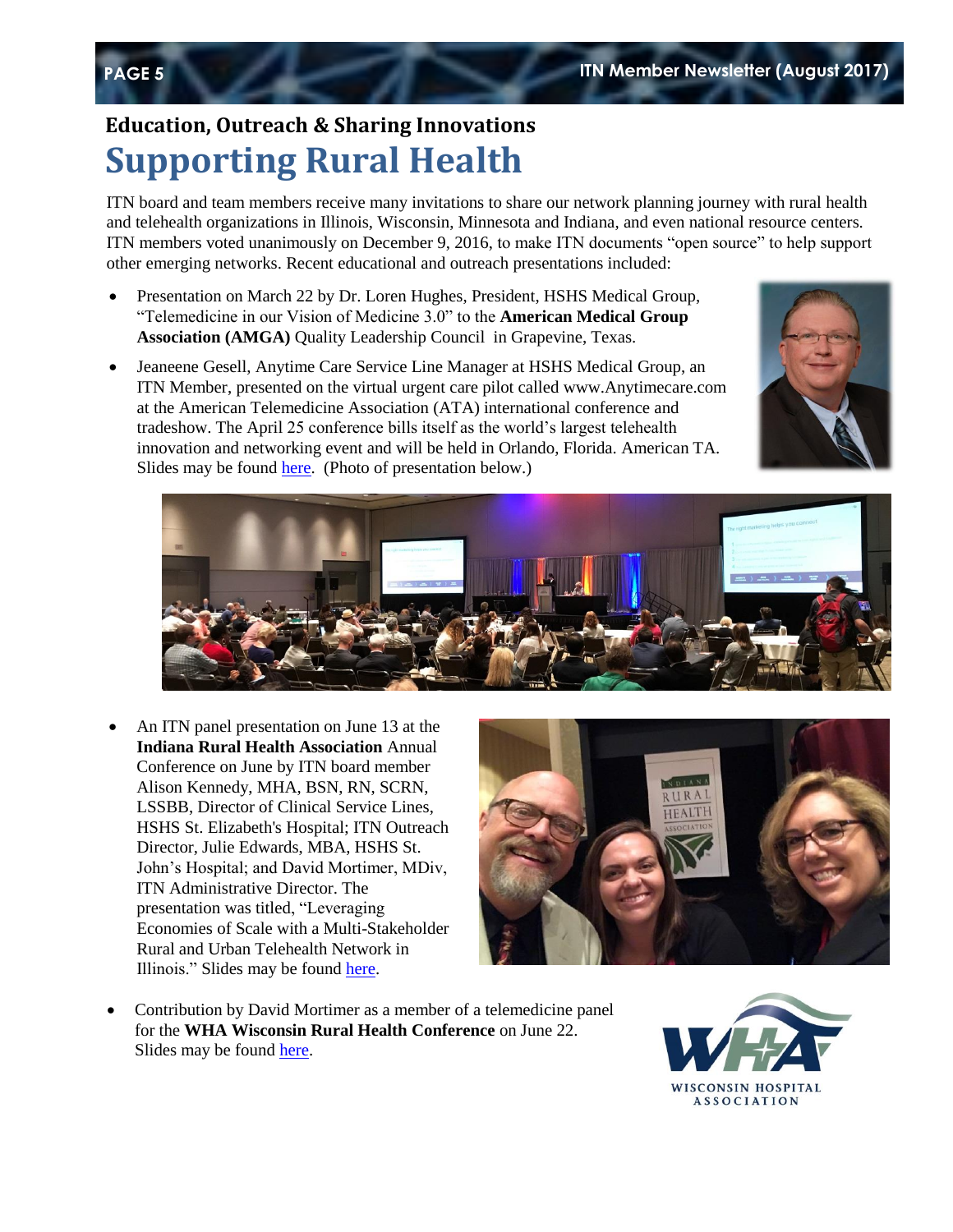### **Education, Outreach & Sharing Innovations Supporting Rural Health**

ITN board and team members receive many invitations to share our network planning journey with rural health and telehealth organizations in Illinois, Wisconsin, Minnesota and Indiana, and even national resource centers. ITN members voted unanimously on December 9, 2016, to make ITN documents "open source" to help support other emerging networks. Recent educational and outreach presentations included:

- Presentation on March 22 by Dr. Loren Hughes, President, HSHS Medical Group, "Telemedicine in our Vision of Medicine 3.0" to the **American Medical Group Association (AMGA)** Quality Leadership Council in Grapevine, Texas.
- Jeaneene Gesell, Anytime Care Service Line Manager at HSHS Medical Group, an ITN Member, presented on the virtual urgent care pilot called www.Anytimecare.com at the American Telemedicine Association (ATA) international conference and tradeshow. The April 25 conference bills itself as the world's largest telehealth innovation and networking event and will be held in Orlando, Florida. American TA. Slides may be found [here.](https://www.dropbox.com/s/74lx8wf7pybd1vc/HSHSMG%20ATA%20slides%20%28AnyTimeCare%20virtual%20urgent%20care%204-25-17.pdf?dl=0) (Photo of presentation below.)





 An ITN panel presentation on June 13 at the **Indiana Rural Health Association** Annual Conference on June by ITN board member Alison Kennedy, MHA, BSN, RN, SCRN, LSSBB, Director of Clinical Service Lines, HSHS St. Elizabeth's Hospital; ITN Outreach Director, Julie Edwards, MBA, HSHS St. John's Hospital; and David Mortimer, MDiv, ITN Administrative Director. The presentation was titled, "Leveraging Economies of Scale with a Multi-Stakeholder Rural and Urban Telehealth Network in Illinois." Slides may be found [here.](https://www.dropbox.com/s/lltrgthnx8lh6v0/Indiana%20RHA%20ITN%20Slides%206-13-17%20%28final%29.pdf?dl=0)



 Contribution by David Mortimer as a member of a telemedicine panel for the **WHA Wisconsin Rural Health Conference** on June 22. Slides may be found [here.](https://www.dropbox.com/s/vy916mxzic9kfly/WHA%20Rural%20Health%20Conf.%20slides%20%28HSHS%29.pdf?dl=0)